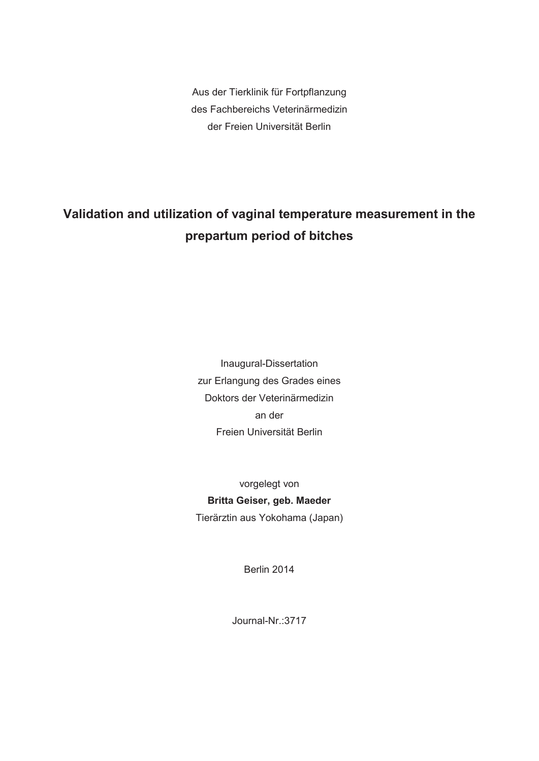Aus der Tierklinik für Fortpflanzung des Fachbereichs Veterinärmedizin der Freien Universität Berlin

# **Validation and utilization of vaginal temperature measurement in the prepartum period of bitches**

Inaugural-Dissertation zur Erlangung des Grades eines Doktors der Veterinärmedizin an der Freien Universität Berlin

vorgelegt von **Britta Geiser, geb. Maeder**  Tierärztin aus Yokohama (Japan)

Berlin 2014

Journal-Nr.:3717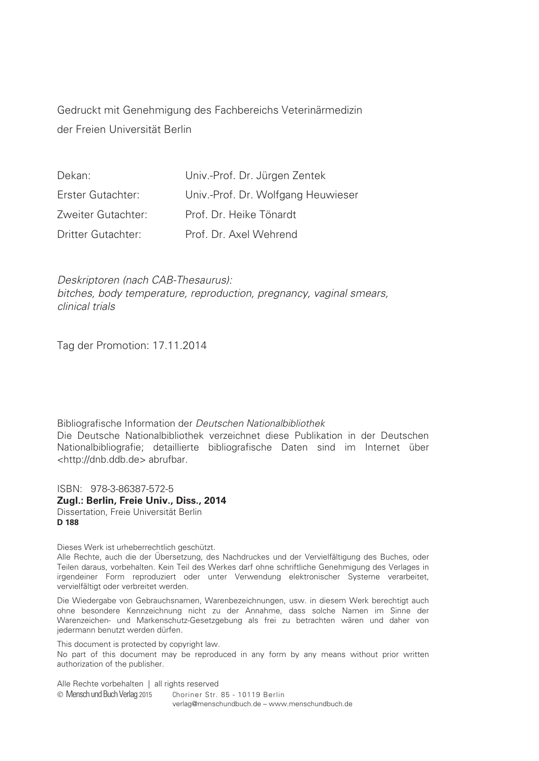Gedruckt mit Genehmigung des Fachbereichs Veterinärmedizin der Freien Universität Berlin

| Dekan:                    | Univ.-Prof. Dr. Jürgen Zentek      |
|---------------------------|------------------------------------|
| Erster Gutachter:         | Univ.-Prof. Dr. Wolfgang Heuwieser |
| Zweiter Gutachter:        | Prof. Dr. Heike Tönardt            |
| <b>Dritter Gutachter:</b> | Prof. Dr. Axel Wehrend             |

Deskriptoren (nach CAB-Thesaurus): bitches, body temperature, reproduction, pregnancy, vaginal smears, clinical trials

Tag der Promotion: 17.11.2014

Bibliografische Information der Deutschen Nationalbibliothek Die Deutsche Nationalbibliothek verzeichnet diese Publikation in der Deutschen Nationalbibliografie; detaillierte bibliografische Daten sind im Internet über <http://dnb.ddb.de> abrufbar.

ISBN: 978-3-86387-572-5 **Zugl.: Berlin, Freie Univ., Diss., 2014**  Dissertation, Freie Universität Berlin **D 188** 

Dieses Werk ist urheberrechtlich geschützt.

Alle Rechte, auch die der Übersetzung, des Nachdruckes und der Vervielfältigung des Buches, oder Teilen daraus, vorbehalten. Kein Teil des Werkes darf ohne schriftliche Genehmigung des Verlages in irgendeiner Form reproduziert oder unter Verwendung elektronischer Systeme verarbeitet, vervielfältigt oder verbreitet werden.

Die Wiedergabe von Gebrauchsnamen, Warenbezeichnungen, usw. in diesem Werk berechtigt auch ohne besondere Kennzeichnung nicht zu der Annahme, dass solche Namen im Sinne der Warenzeichen- und Markenschutz-Gesetzgebung als frei zu betrachten wären und daher von jedermann benutzt werden dürfen.

This document is protected by copyright law. No part of this document may be reproduced in any form by any means without prior written authorization of the publisher.

Alle Rechte vorbehalten | all rights reserved © Mensch und Buch Verlag 2015 Choriner Str. 85 - 10119 Berlin verlag@menschundbuch.de – www.menschundbuch.de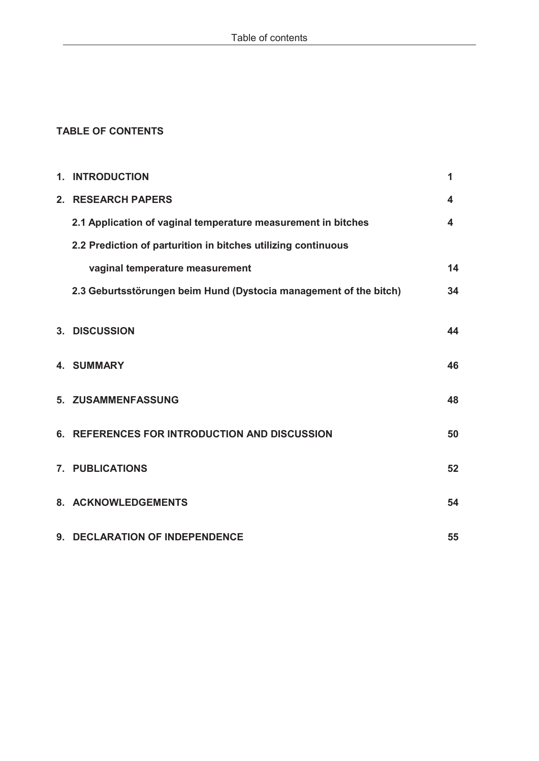# **TABLE OF CONTENTS**

| 1. INTRODUCTION                                                   | 1  |
|-------------------------------------------------------------------|----|
| 2. RESEARCH PAPERS                                                | 4  |
| 2.1 Application of vaginal temperature measurement in bitches     | 4  |
| 2.2 Prediction of parturition in bitches utilizing continuous     |    |
| vaginal temperature measurement                                   | 14 |
| 2.3 Geburtsstörungen beim Hund (Dystocia management of the bitch) | 34 |
|                                                                   |    |
| 3. DISCUSSION                                                     | 44 |
| <b>4. SUMMARY</b>                                                 | 46 |
|                                                                   |    |
| 5. ZUSAMMENFASSUNG                                                | 48 |
| 6. REFERENCES FOR INTRODUCTION AND DISCUSSION                     | 50 |
|                                                                   |    |
| 7. PUBLICATIONS                                                   | 52 |
| 8. ACKNOWLEDGEMENTS                                               | 54 |
|                                                                   |    |
| 9. DECLARATION OF INDEPENDENCE                                    | 55 |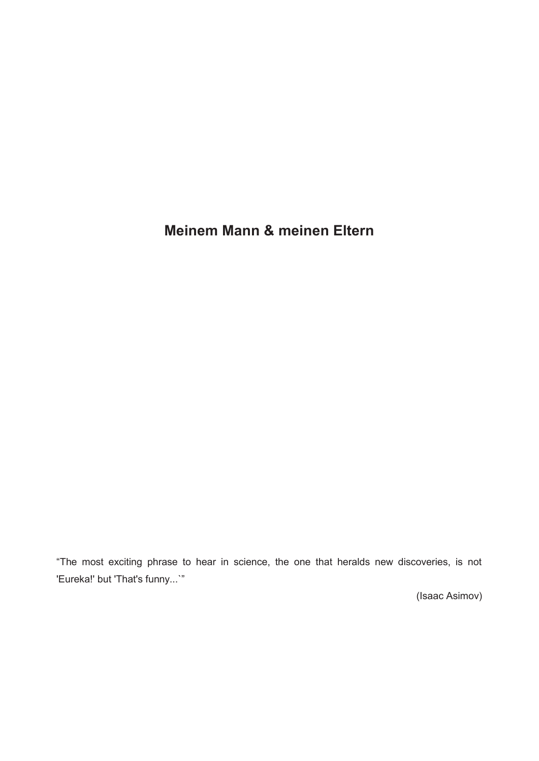# **Meinem Mann & meinen Eltern**

"The most exciting phrase to hear in science, the one that heralds new discoveries, is not 'Eureka!' but 'That's funny...`"

(Isaac Asimov)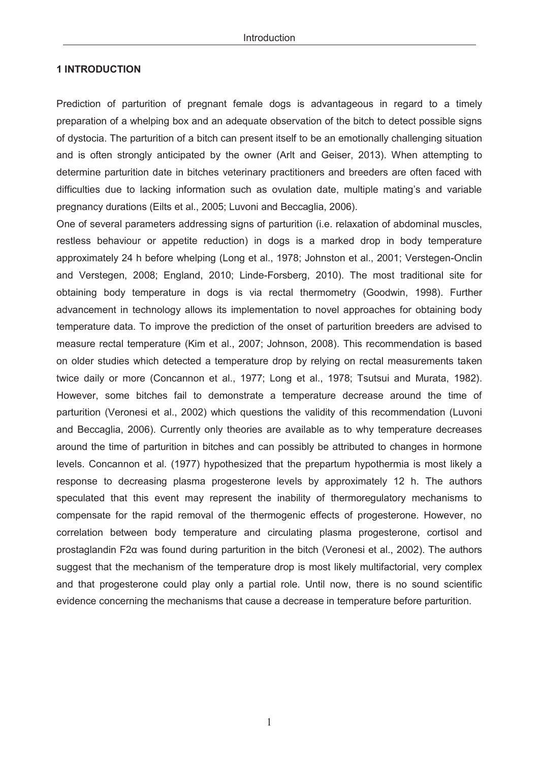#### **1 INTRODUCTION**

Prediction of parturition of pregnant female dogs is advantageous in regard to a timely preparation of a whelping box and an adequate observation of the bitch to detect possible signs of dystocia. The parturition of a bitch can present itself to be an emotionally challenging situation and is often strongly anticipated by the owner (Arlt and Geiser, 2013). When attempting to determine parturition date in bitches veterinary practitioners and breeders are often faced with difficulties due to lacking information such as ovulation date, multiple mating's and variable pregnancy durations (Eilts et al., 2005; Luvoni and Beccaglia, 2006).

One of several parameters addressing signs of parturition (i.e. relaxation of abdominal muscles, restless behaviour or appetite reduction) in dogs is a marked drop in body temperature approximately 24 h before whelping (Long et al., 1978; Johnston et al., 2001; Verstegen-Onclin and Verstegen, 2008; England, 2010; Linde-Forsberg, 2010). The most traditional site for obtaining body temperature in dogs is via rectal thermometry (Goodwin, 1998). Further advancement in technology allows its implementation to novel approaches for obtaining body temperature data. To improve the prediction of the onset of parturition breeders are advised to measure rectal temperature (Kim et al., 2007; Johnson, 2008). This recommendation is based on older studies which detected a temperature drop by relying on rectal measurements taken twice daily or more (Concannon et al., 1977; Long et al., 1978; Tsutsui and Murata, 1982). However, some bitches fail to demonstrate a temperature decrease around the time of parturition (Veronesi et al., 2002) which questions the validity of this recommendation (Luvoni and Beccaglia, 2006). Currently only theories are available as to why temperature decreases around the time of parturition in bitches and can possibly be attributed to changes in hormone levels. Concannon et al. (1977) hypothesized that the prepartum hypothermia is most likely a response to decreasing plasma progesterone levels by approximately 12 h. The authors speculated that this event may represent the inability of thermoregulatory mechanisms to compensate for the rapid removal of the thermogenic effects of progesterone. However, no correlation between body temperature and circulating plasma progesterone, cortisol and prostaglandin F2α was found during parturition in the bitch (Veronesi et al., 2002). The authors suggest that the mechanism of the temperature drop is most likely multifactorial, very complex and that progesterone could play only a partial role. Until now, there is no sound scientific evidence concerning the mechanisms that cause a decrease in temperature before parturition.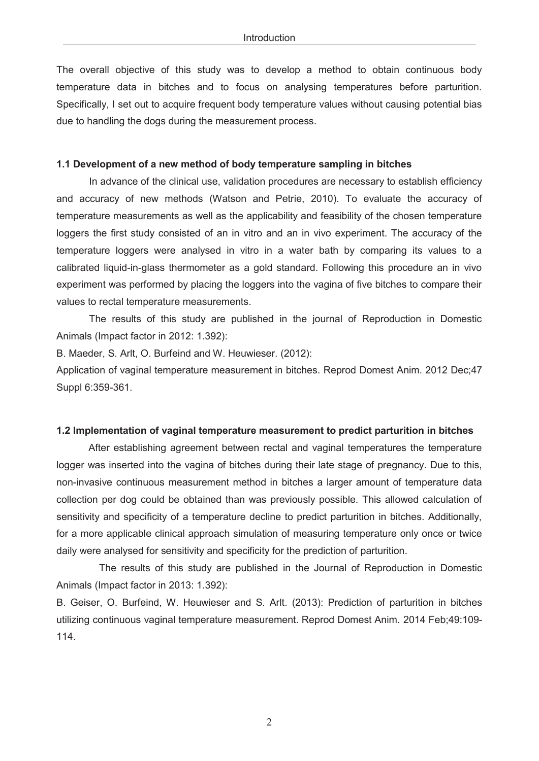The overall objective of this study was to develop a method to obtain continuous body temperature data in bitches and to focus on analysing temperatures before parturition. Specifically, I set out to acquire frequent body temperature values without causing potential bias due to handling the dogs during the measurement process.

#### **1.1 Development of a new method of body temperature sampling in bitches**

 In advance of the clinical use, validation procedures are necessary to establish efficiency and accuracy of new methods (Watson and Petrie, 2010). To evaluate the accuracy of temperature measurements as well as the applicability and feasibility of the chosen temperature loggers the first study consisted of an in vitro and an in vivo experiment. The accuracy of the temperature loggers were analysed in vitro in a water bath by comparing its values to a calibrated liquid-in-glass thermometer as a gold standard. Following this procedure an in vivo experiment was performed by placing the loggers into the vagina of five bitches to compare their values to rectal temperature measurements.

The results of this study are published in the journal of Reproduction in Domestic Animals (Impact factor in 2012: 1.392):

B. Maeder, S. Arlt, O. Burfeind and W. Heuwieser. (2012):

Application of vaginal temperature measurement in bitches. Reprod Domest Anim. 2012 Dec;47 Suppl 6:359-361.

#### **1.2 Implementation of vaginal temperature measurement to predict parturition in bitches**

After establishing agreement between rectal and vaginal temperatures the temperature logger was inserted into the vagina of bitches during their late stage of pregnancy. Due to this, non-invasive continuous measurement method in bitches a larger amount of temperature data collection per dog could be obtained than was previously possible. This allowed calculation of sensitivity and specificity of a temperature decline to predict parturition in bitches. Additionally, for a more applicable clinical approach simulation of measuring temperature only once or twice daily were analysed for sensitivity and specificity for the prediction of parturition.

 The results of this study are published in the Journal of Reproduction in Domestic Animals (Impact factor in 2013: 1.392):

B. Geiser, O. Burfeind, W. Heuwieser and S. Arlt. (2013): Prediction of parturition in bitches utilizing continuous vaginal temperature measurement. Reprod Domest Anim. 2014 Feb;49:109- 114.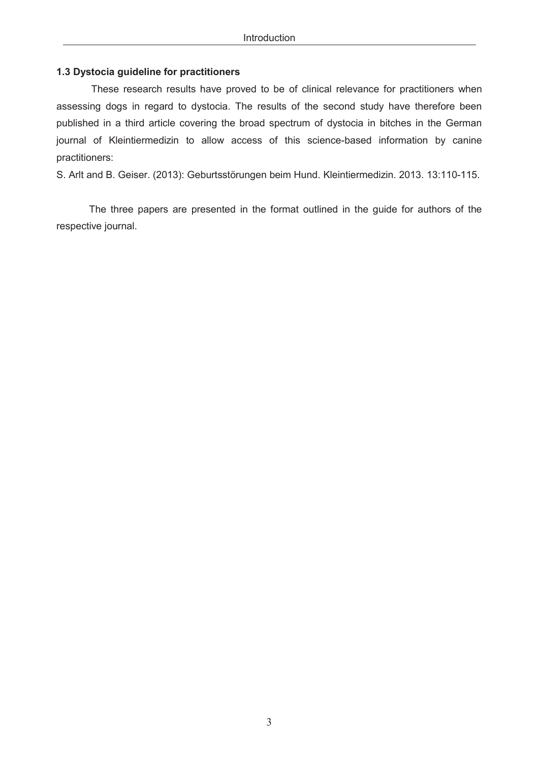## **1.3 Dystocia guideline for practitioners**

 These research results have proved to be of clinical relevance for practitioners when assessing dogs in regard to dystocia. The results of the second study have therefore been published in a third article covering the broad spectrum of dystocia in bitches in the German journal of Kleintiermedizin to allow access of this science-based information by canine practitioners:

S. Arlt and B. Geiser. (2013): Geburtsstörungen beim Hund. Kleintiermedizin. 2013. 13:110-115.

The three papers are presented in the format outlined in the guide for authors of the respective journal.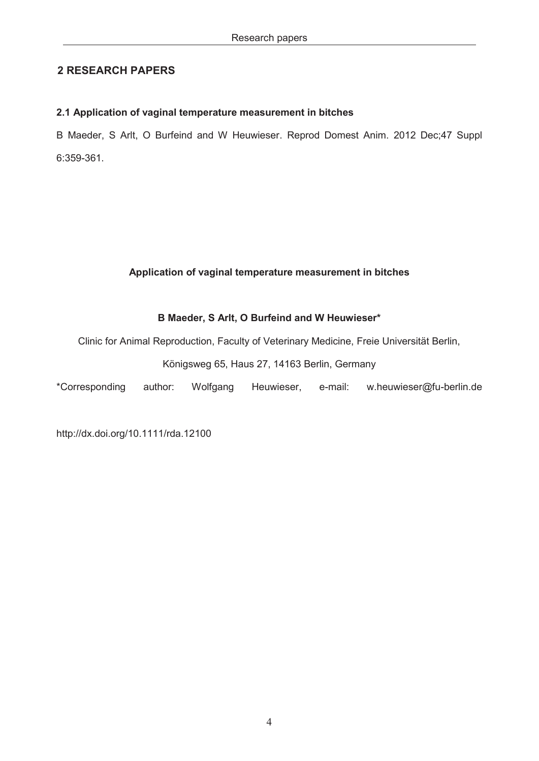# **2 RESEARCH PAPERS**

## **2.1 Application of vaginal temperature measurement in bitches**

B Maeder, S Arlt, O Burfeind and W Heuwieser. Reprod Domest Anim. 2012 Dec;47 Suppl 6:359-361.

## **Application of vaginal temperature measurement in bitches**

## **B Maeder, S Arlt, O Burfeind and W Heuwieser\***

Clinic for Animal Reproduction, Faculty of Veterinary Medicine, Freie Universität Berlin,

## Königsweg 65, Haus 27, 14163 Berlin, Germany

\*Corresponding author: Wolfgang Heuwieser, e-mail: w.heuwieser@fu-berlin.de

http://dx.doi.org/10.1111/rda.12100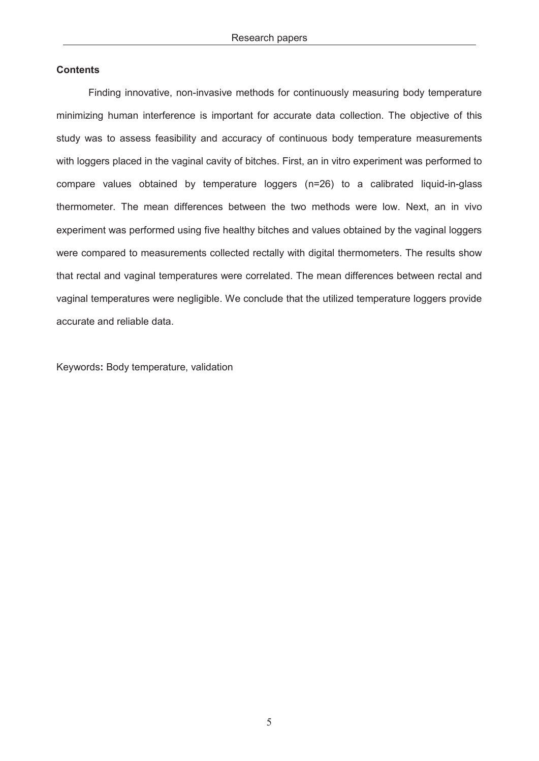#### **Contents**

Finding innovative, non-invasive methods for continuously measuring body temperature minimizing human interference is important for accurate data collection. The objective of this study was to assess feasibility and accuracy of continuous body temperature measurements with loggers placed in the vaginal cavity of bitches. First, an in vitro experiment was performed to compare values obtained by temperature loggers (n=26) to a calibrated liquid-in-glass thermometer. The mean differences between the two methods were low. Next, an in vivo experiment was performed using five healthy bitches and values obtained by the vaginal loggers were compared to measurements collected rectally with digital thermometers. The results show that rectal and vaginal temperatures were correlated. The mean differences between rectal and vaginal temperatures were negligible. We conclude that the utilized temperature loggers provide accurate and reliable data.

Keywords**:** Body temperature, validation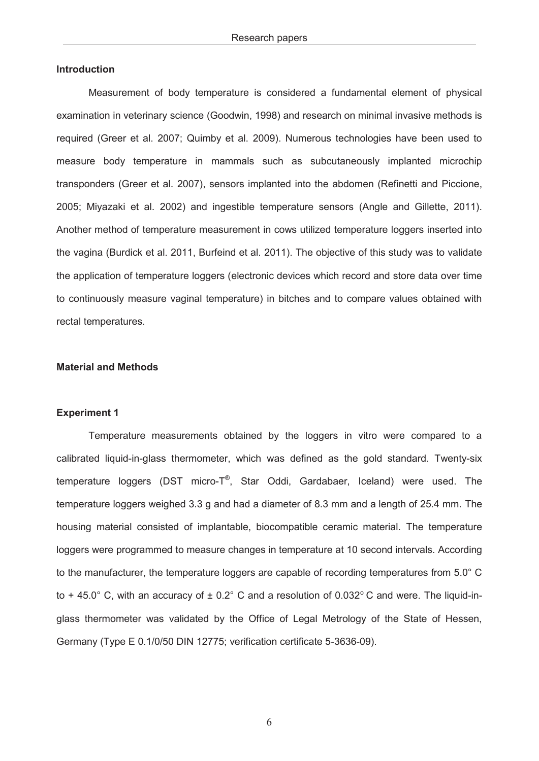#### **Introduction**

Measurement of body temperature is considered a fundamental element of physical examination in veterinary science (Goodwin, 1998) and research on minimal invasive methods is required (Greer et al. 2007; Quimby et al. 2009). Numerous technologies have been used to measure body temperature in mammals such as subcutaneously implanted microchip transponders (Greer et al. 2007), sensors implanted into the abdomen (Refinetti and Piccione, 2005; Miyazaki et al. 2002) and ingestible temperature sensors (Angle and Gillette, 2011). Another method of temperature measurement in cows utilized temperature loggers inserted into the vagina (Burdick et al. 2011, Burfeind et al. 2011). The objective of this study was to validate the application of temperature loggers (electronic devices which record and store data over time to continuously measure vaginal temperature) in bitches and to compare values obtained with rectal temperatures.

#### **Material and Methods**

#### **Experiment 1**

Temperature measurements obtained by the loggers in vitro were compared to a calibrated liquid-in-glass thermometer, which was defined as the gold standard. Twenty-six temperature loggers (DST micro-T®, Star Oddi, Gardabaer, Iceland) were used. The temperature loggers weighed 3.3 g and had a diameter of 8.3 mm and a length of 25.4 mm. The housing material consisted of implantable, biocompatible ceramic material. The temperature loggers were programmed to measure changes in temperature at 10 second intervals. According to the manufacturer, the temperature loggers are capable of recording temperatures from 5.0° C to + 45.0° C, with an accuracy of  $\pm$  0.2° C and a resolution of 0.032° C and were. The liquid-inglass thermometer was validated by the Office of Legal Metrology of the State of Hessen, Germany (Type E 0.1/0/50 DIN 12775; verification certificate 5-3636-09).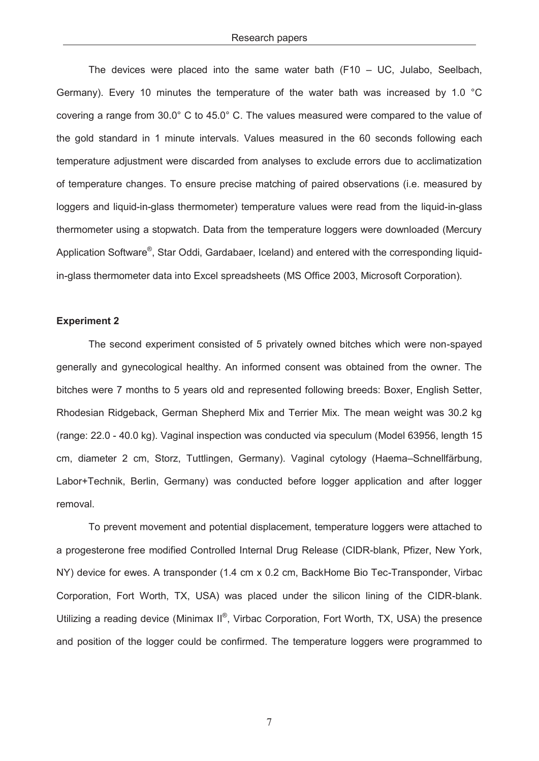The devices were placed into the same water bath (F10 – UC, Julabo, Seelbach, Germany). Every 10 minutes the temperature of the water bath was increased by 1.0 °C covering a range from 30.0° C to 45.0° C. The values measured were compared to the value of the gold standard in 1 minute intervals. Values measured in the 60 seconds following each temperature adjustment were discarded from analyses to exclude errors due to acclimatization of temperature changes. To ensure precise matching of paired observations (i.e. measured by loggers and liquid-in-glass thermometer) temperature values were read from the liquid-in-glass thermometer using a stopwatch. Data from the temperature loggers were downloaded (Mercury Application Software®, Star Oddi, Gardabaer, Iceland) and entered with the corresponding liquidin-glass thermometer data into Excel spreadsheets (MS Office 2003, Microsoft Corporation).

#### **Experiment 2**

The second experiment consisted of 5 privately owned bitches which were non-spayed generally and gynecological healthy. An informed consent was obtained from the owner. The bitches were 7 months to 5 years old and represented following breeds: Boxer, English Setter, Rhodesian Ridgeback, German Shepherd Mix and Terrier Mix. The mean weight was 30.2 kg (range: 22.0 - 40.0 kg). Vaginal inspection was conducted via speculum (Model 63956, length 15 cm, diameter 2 cm, Storz, Tuttlingen, Germany). Vaginal cytology (Haema–Schnellfärbung, Labor+Technik, Berlin, Germany) was conducted before logger application and after logger removal.

To prevent movement and potential displacement, temperature loggers were attached to a progesterone free modified Controlled Internal Drug Release (CIDR-blank, Pfizer, New York, NY) device for ewes. A transponder (1.4 cm x 0.2 cm, BackHome Bio Tec-Transponder, Virbac Corporation, Fort Worth, TX, USA) was placed under the silicon lining of the CIDR-blank. Utilizing a reading device (Minimax II<sup>®</sup>, Virbac Corporation, Fort Worth, TX, USA) the presence and position of the logger could be confirmed. The temperature loggers were programmed to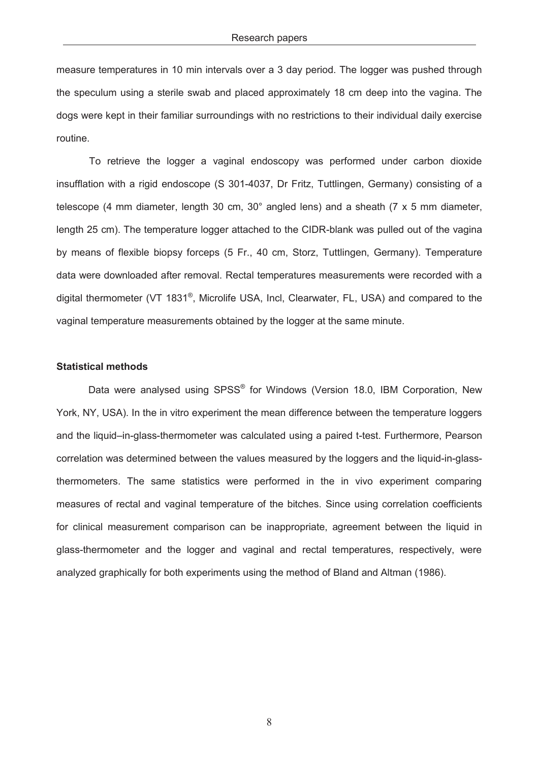measure temperatures in 10 min intervals over a 3 day period. The logger was pushed through the speculum using a sterile swab and placed approximately 18 cm deep into the vagina. The dogs were kept in their familiar surroundings with no restrictions to their individual daily exercise routine.

 To retrieve the logger a vaginal endoscopy was performed under carbon dioxide insufflation with a rigid endoscope (S 301-4037, Dr Fritz, Tuttlingen, Germany) consisting of a telescope (4 mm diameter, length 30 cm, 30° angled lens) and a sheath (7 x 5 mm diameter, length 25 cm). The temperature logger attached to the CIDR-blank was pulled out of the vagina by means of flexible biopsy forceps (5 Fr., 40 cm, Storz, Tuttlingen, Germany). Temperature data were downloaded after removal. Rectal temperatures measurements were recorded with a digital thermometer (VT 1831®, Microlife USA, Incl, Clearwater, FL, USA) and compared to the vaginal temperature measurements obtained by the logger at the same minute.

#### **Statistical methods**

Data were analysed using SPSS<sup>®</sup> for Windows (Version 18.0, IBM Corporation, New York, NY, USA). In the in vitro experiment the mean difference between the temperature loggers and the liquid–in-glass-thermometer was calculated using a paired t-test. Furthermore, Pearson correlation was determined between the values measured by the loggers and the liquid-in-glassthermometers. The same statistics were performed in the in vivo experiment comparing measures of rectal and vaginal temperature of the bitches. Since using correlation coefficients for clinical measurement comparison can be inappropriate, agreement between the liquid in glass-thermometer and the logger and vaginal and rectal temperatures, respectively, were analyzed graphically for both experiments using the method of Bland and Altman (1986).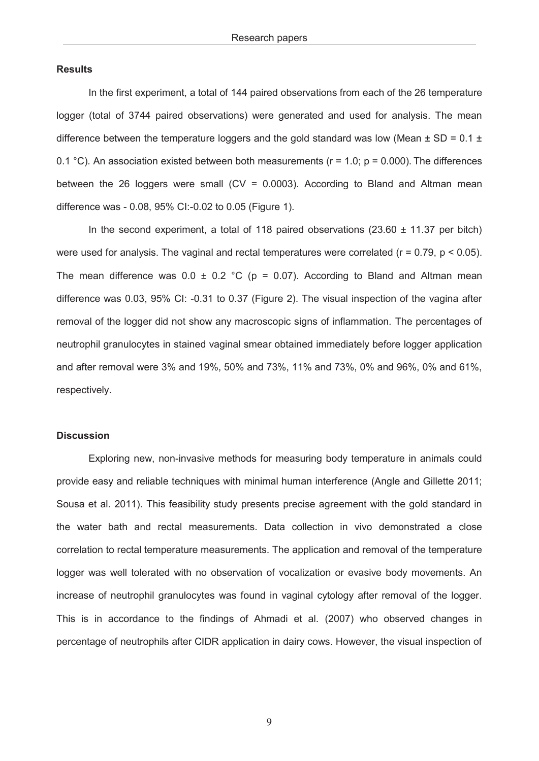#### **Results**

In the first experiment, a total of 144 paired observations from each of the 26 temperature logger (total of 3744 paired observations) were generated and used for analysis. The mean difference between the temperature loggers and the gold standard was low (Mean  $\pm$  SD = 0.1  $\pm$ 0.1 °C). An association existed between both measurements ( $r = 1.0$ ;  $p = 0.000$ ). The differences between the 26 loggers were small ( $CV = 0.0003$ ). According to Bland and Altman mean difference was - 0.08, 95% CI:-0.02 to 0.05 (Figure 1).

In the second experiment, a total of 118 paired observations  $(23.60 \pm 11.37 \text{ per bitch})$ were used for analysis. The vaginal and rectal temperatures were correlated  $(r = 0.79, p < 0.05)$ . The mean difference was  $0.0 \pm 0.2$  °C (p = 0.07). According to Bland and Altman mean difference was 0.03, 95% CI: -0.31 to 0.37 (Figure 2). The visual inspection of the vagina after removal of the logger did not show any macroscopic signs of inflammation. The percentages of neutrophil granulocytes in stained vaginal smear obtained immediately before logger application and after removal were 3% and 19%, 50% and 73%, 11% and 73%, 0% and 96%, 0% and 61%, respectively.

#### **Discussion**

Exploring new, non-invasive methods for measuring body temperature in animals could provide easy and reliable techniques with minimal human interference (Angle and Gillette 2011; Sousa et al. 2011). This feasibility study presents precise agreement with the gold standard in the water bath and rectal measurements. Data collection in vivo demonstrated a close correlation to rectal temperature measurements. The application and removal of the temperature logger was well tolerated with no observation of vocalization or evasive body movements. An increase of neutrophil granulocytes was found in vaginal cytology after removal of the logger. This is in accordance to the findings of Ahmadi et al. (2007) who observed changes in percentage of neutrophils after CIDR application in dairy cows. However, the visual inspection of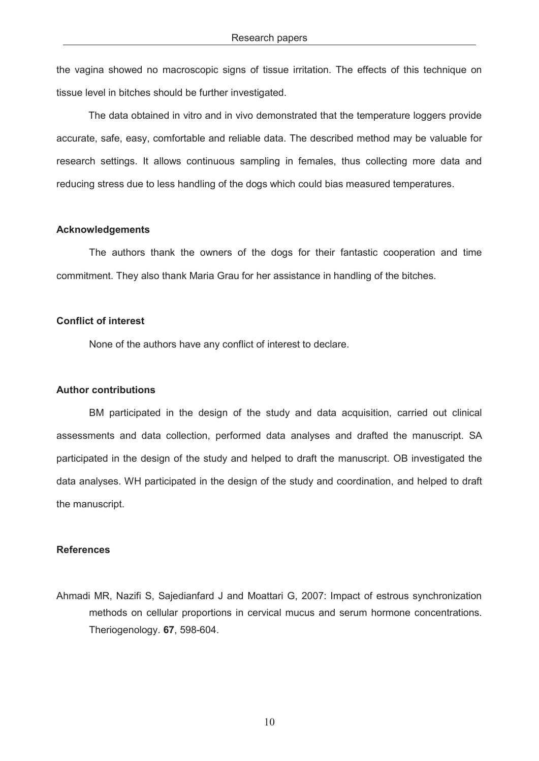the vagina showed no macroscopic signs of tissue irritation. The effects of this technique on tissue level in bitches should be further investigated.

The data obtained in vitro and in vivo demonstrated that the temperature loggers provide accurate, safe, easy, comfortable and reliable data. The described method may be valuable for research settings. It allows continuous sampling in females, thus collecting more data and reducing stress due to less handling of the dogs which could bias measured temperatures.

#### **Acknowledgements**

The authors thank the owners of the dogs for their fantastic cooperation and time commitment. They also thank Maria Grau for her assistance in handling of the bitches.

### **Conflict of interest**

None of the authors have any conflict of interest to declare.

#### **Author contributions**

BM participated in the design of the study and data acquisition, carried out clinical assessments and data collection, performed data analyses and drafted the manuscript. SA participated in the design of the study and helped to draft the manuscript. OB investigated the data analyses. WH participated in the design of the study and coordination, and helped to draft the manuscript.

#### **References**

Ahmadi MR, Nazifi S, Sajedianfard J and Moattari G, 2007: Impact of estrous synchronization methods on cellular proportions in cervical mucus and serum hormone concentrations. Theriogenology. **67**, 598-604.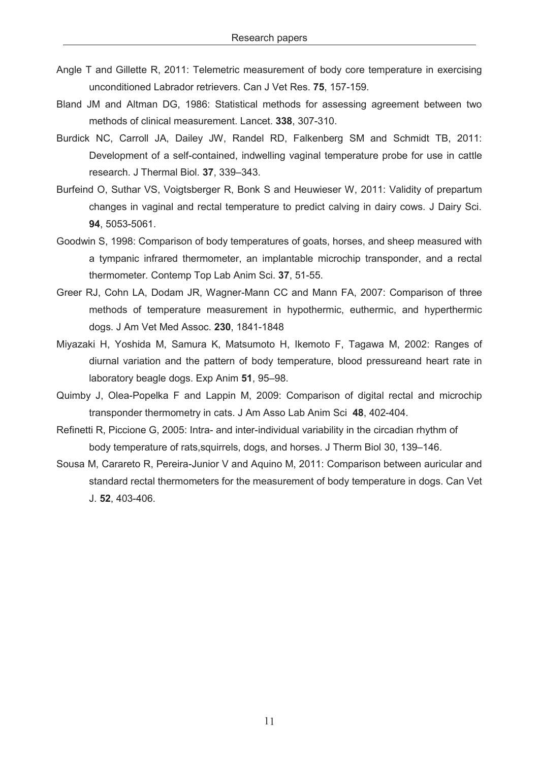- Angle T and Gillette R, 2011: Telemetric measurement of body core temperature in exercising unconditioned Labrador retrievers. Can J Vet Res. **75**, 157-159.
- Bland JM and Altman DG, 1986: Statistical methods for assessing agreement between two methods of clinical measurement. Lancet. **338**, 307-310.
- Burdick NC, Carroll JA, Dailey JW, Randel RD, Falkenberg SM and Schmidt TB, 2011: Development of a self-contained, indwelling vaginal temperature probe for use in cattle research. J Thermal Biol. **37**, 339–343.
- Burfeind O, Suthar VS, Voigtsberger R, Bonk S and Heuwieser W, 2011: Validity of prepartum changes in vaginal and rectal temperature to predict calving in dairy cows. J Dairy Sci. **94**, 5053-5061.
- Goodwin S, 1998: Comparison of body temperatures of goats, horses, and sheep measured with a tympanic infrared thermometer, an implantable microchip transponder, and a rectal thermometer. Contemp Top Lab Anim Sci. **37**, 51-55.
- Greer RJ, Cohn LA, Dodam JR, Wagner-Mann CC and Mann FA, 2007: Comparison of three methods of temperature measurement in hypothermic, euthermic, and hyperthermic dogs. J Am Vet Med Assoc. **230**, 1841-1848
- Miyazaki H, Yoshida M, Samura K, Matsumoto H, Ikemoto F, Tagawa M, 2002: Ranges of diurnal variation and the pattern of body temperature, blood pressureand heart rate in laboratory beagle dogs. Exp Anim **51**, 95–98.
- Quimby J, Olea-Popelka F and Lappin M, 2009: Comparison of digital rectal and microchip transponder thermometry in cats. J Am Asso Lab Anim Sci **48**, 402-404.
- Refinetti R, Piccione G, 2005: Intra- and inter-individual variability in the circadian rhythm of body temperature of rats,squirrels, dogs, and horses. J Therm Biol 30, 139–146.
- Sousa M, Carareto R, Pereira-Junior V and Aquino M, 2011: Comparison between auricular and standard rectal thermometers for the measurement of body temperature in dogs. Can Vet J. **52**, 403-406.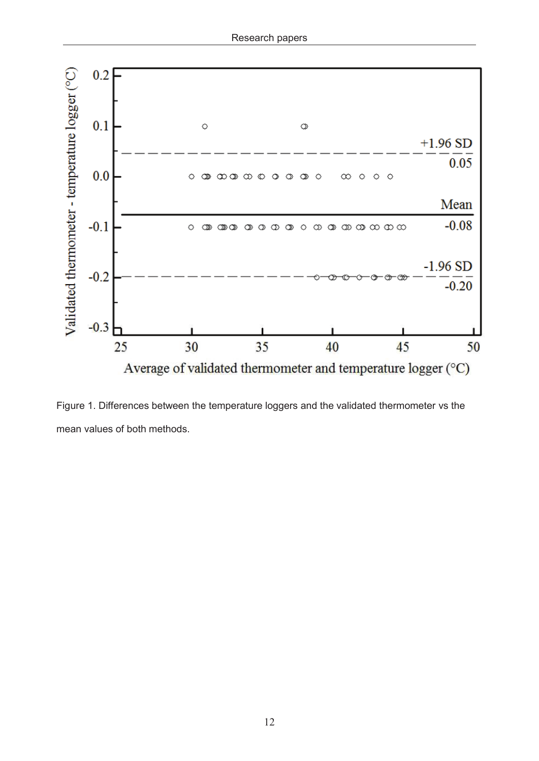

Figure 1. Differences between the temperature loggers and the validated thermometer vs the mean values of both methods.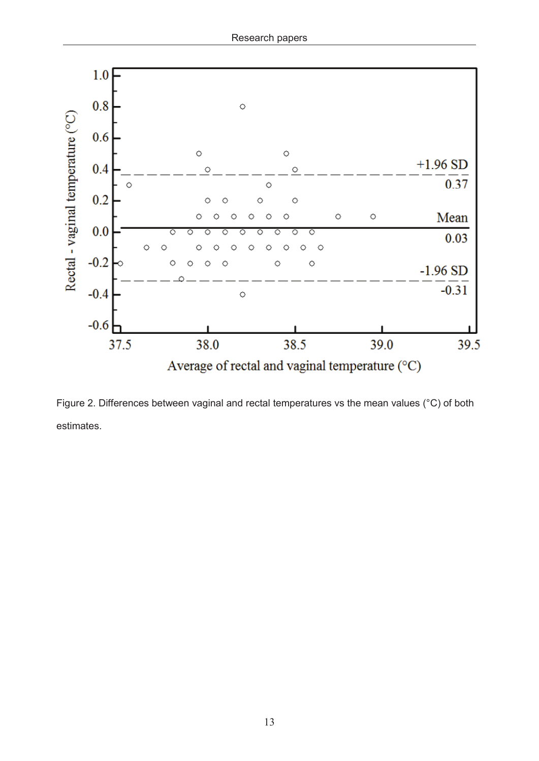

Figure 2. Differences between vaginal and rectal temperatures vs the mean values (°C) of both estimates.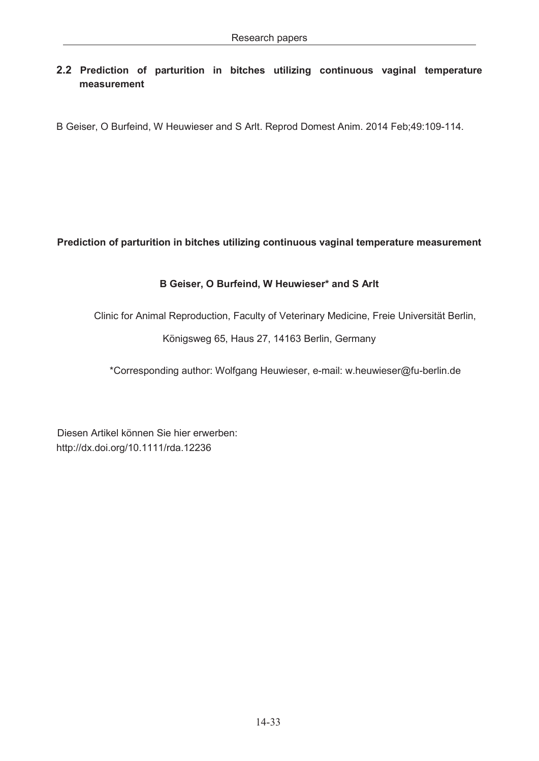# **2.2 Prediction of parturition in bitches utilizing continuous vaginal temperature measurement**

B Geiser, O Burfeind, W Heuwieser and S Arlt. Reprod Domest Anim. 2014 Feb;49:109-114.

# **Prediction of parturition in bitches utilizing continuous vaginal temperature measurement**

# **B Geiser, O Burfeind, W Heuwieser\* and S Arlt**

Clinic for Animal Reproduction, Faculty of Veterinary Medicine, Freie Universität Berlin,

Königsweg 65, Haus 27, 14163 Berlin, Germany

\*Corresponding author: Wolfgang Heuwieser, e-mail: w.heuwieser@fu-berlin.de

Diesen Artikel können Sie hier erwerben: <http://dx.doi.org/10.1111/rda.12236>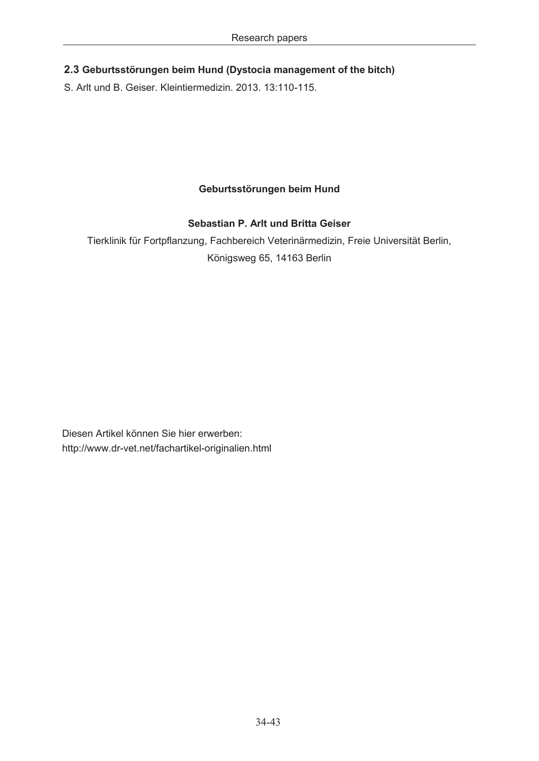# **2.3 Geburtsstörungen beim Hund (Dystocia management of the bitch)**

S. Arlt und B. Geiser. Kleintiermedizin. 2013. 13:110-115.

# **Geburtsstörungen beim Hund**

# **Sebastian P. Arlt und Britta Geiser**

Tierklinik für Fortpflanzung, Fachbereich Veterinärmedizin, Freie Universität Berlin, Königsweg 65, 14163 Berlin

<http://www.dr-vet.net/fachartikel-originalien.html> Diesen Artikel können Sie hier erwerben: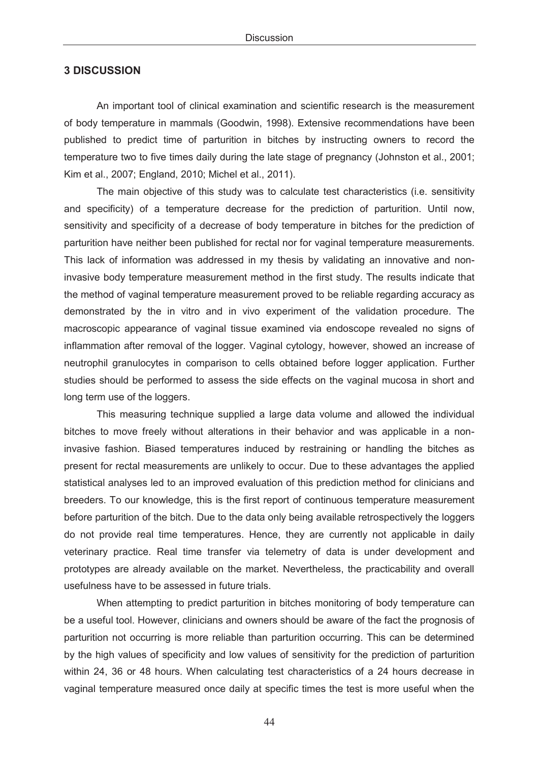## **3 DISCUSSION**

An important tool of clinical examination and scientific research is the measurement of body temperature in mammals (Goodwin, 1998). Extensive recommendations have been published to predict time of parturition in bitches by instructing owners to record the temperature two to five times daily during the late stage of pregnancy (Johnston et al., 2001; Kim et al., 2007; England, 2010; Michel et al., 2011).

 The main objective of this study was to calculate test characteristics (i.e. sensitivity and specificity) of a temperature decrease for the prediction of parturition. Until now, sensitivity and specificity of a decrease of body temperature in bitches for the prediction of parturition have neither been published for rectal nor for vaginal temperature measurements. This lack of information was addressed in my thesis by validating an innovative and noninvasive body temperature measurement method in the first study. The results indicate that the method of vaginal temperature measurement proved to be reliable regarding accuracy as demonstrated by the in vitro and in vivo experiment of the validation procedure. The macroscopic appearance of vaginal tissue examined via endoscope revealed no signs of inflammation after removal of the logger. Vaginal cytology, however, showed an increase of neutrophil granulocytes in comparison to cells obtained before logger application. Further studies should be performed to assess the side effects on the vaginal mucosa in short and long term use of the loggers.

This measuring technique supplied a large data volume and allowed the individual bitches to move freely without alterations in their behavior and was applicable in a noninvasive fashion. Biased temperatures induced by restraining or handling the bitches as present for rectal measurements are unlikely to occur. Due to these advantages the applied statistical analyses led to an improved evaluation of this prediction method for clinicians and breeders. To our knowledge, this is the first report of continuous temperature measurement before parturition of the bitch. Due to the data only being available retrospectively the loggers do not provide real time temperatures. Hence, they are currently not applicable in daily veterinary practice. Real time transfer via telemetry of data is under development and prototypes are already available on the market. Nevertheless, the practicability and overall usefulness have to be assessed in future trials.

When attempting to predict parturition in bitches monitoring of body temperature can be a useful tool. However, clinicians and owners should be aware of the fact the prognosis of parturition not occurring is more reliable than parturition occurring. This can be determined by the high values of specificity and low values of sensitivity for the prediction of parturition within 24, 36 or 48 hours. When calculating test characteristics of a 24 hours decrease in vaginal temperature measured once daily at specific times the test is more useful when the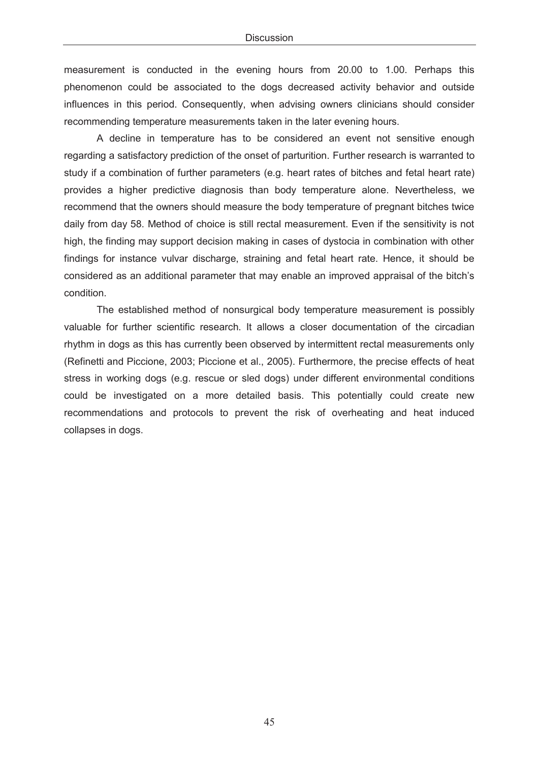measurement is conducted in the evening hours from 20.00 to 1.00. Perhaps this phenomenon could be associated to the dogs decreased activity behavior and outside influences in this period. Consequently, when advising owners clinicians should consider recommending temperature measurements taken in the later evening hours.

A decline in temperature has to be considered an event not sensitive enough regarding a satisfactory prediction of the onset of parturition. Further research is warranted to study if a combination of further parameters (e.g. heart rates of bitches and fetal heart rate) provides a higher predictive diagnosis than body temperature alone. Nevertheless, we recommend that the owners should measure the body temperature of pregnant bitches twice daily from day 58. Method of choice is still rectal measurement. Even if the sensitivity is not high, the finding may support decision making in cases of dystocia in combination with other findings for instance vulvar discharge, straining and fetal heart rate. Hence, it should be considered as an additional parameter that may enable an improved appraisal of the bitch's condition.

The established method of nonsurgical body temperature measurement is possibly valuable for further scientific research. It allows a closer documentation of the circadian rhythm in dogs as this has currently been observed by intermittent rectal measurements only (Refinetti and Piccione, 2003; Piccione et al., 2005). Furthermore, the precise effects of heat stress in working dogs (e.g. rescue or sled dogs) under different environmental conditions could be investigated on a more detailed basis. This potentially could create new recommendations and protocols to prevent the risk of overheating and heat induced collapses in dogs.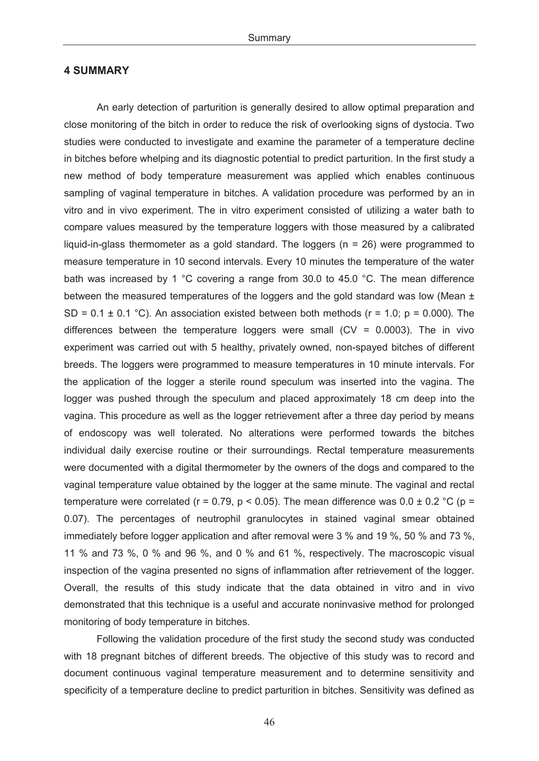## **4 SUMMARY**

An early detection of parturition is generally desired to allow optimal preparation and close monitoring of the bitch in order to reduce the risk of overlooking signs of dystocia. Two studies were conducted to investigate and examine the parameter of a temperature decline in bitches before whelping and its diagnostic potential to predict parturition. In the first study a new method of body temperature measurement was applied which enables continuous sampling of vaginal temperature in bitches. A validation procedure was performed by an in vitro and in vivo experiment. The in vitro experiment consisted of utilizing a water bath to compare values measured by the temperature loggers with those measured by a calibrated liquid-in-glass thermometer as a gold standard. The loggers (n = 26) were programmed to measure temperature in 10 second intervals. Every 10 minutes the temperature of the water bath was increased by 1 °C covering a range from 30.0 to 45.0 °C. The mean difference between the measured temperatures of the loggers and the gold standard was low (Mean  $\pm$ SD =  $0.1 \pm 0.1$  °C). An association existed between both methods ( $r = 1.0$ ;  $p = 0.000$ ). The differences between the temperature loggers were small  $(CV = 0.0003)$ . The in vivo experiment was carried out with 5 healthy, privately owned, non-spayed bitches of different breeds. The loggers were programmed to measure temperatures in 10 minute intervals. For the application of the logger a sterile round speculum was inserted into the vagina. The logger was pushed through the speculum and placed approximately 18 cm deep into the vagina. This procedure as well as the logger retrievement after a three day period by means of endoscopy was well tolerated. No alterations were performed towards the bitches individual daily exercise routine or their surroundings. Rectal temperature measurements were documented with a digital thermometer by the owners of the dogs and compared to the vaginal temperature value obtained by the logger at the same minute. The vaginal and rectal temperature were correlated ( $r = 0.79$ ,  $p < 0.05$ ). The mean difference was  $0.0 \pm 0.2$  °C ( $p =$ 0.07). The percentages of neutrophil granulocytes in stained vaginal smear obtained immediately before logger application and after removal were 3 % and 19 %, 50 % and 73 %, 11 % and 73 %, 0 % and 96 %, and 0 % and 61 %, respectively. The macroscopic visual inspection of the vagina presented no signs of inflammation after retrievement of the logger. Overall, the results of this study indicate that the data obtained in vitro and in vivo demonstrated that this technique is a useful and accurate noninvasive method for prolonged monitoring of body temperature in bitches.

Following the validation procedure of the first study the second study was conducted with 18 pregnant bitches of different breeds. The objective of this study was to record and document continuous vaginal temperature measurement and to determine sensitivity and specificity of a temperature decline to predict parturition in bitches. Sensitivity was defined as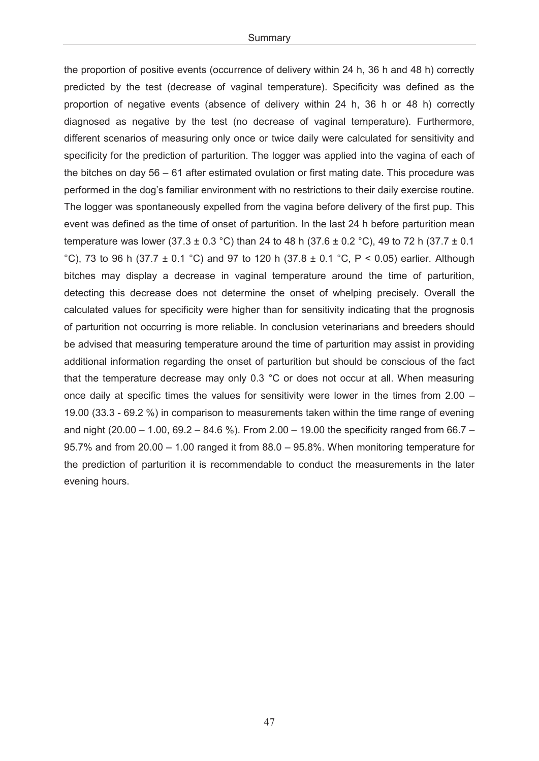the proportion of positive events (occurrence of delivery within 24 h, 36 h and 48 h) correctly predicted by the test (decrease of vaginal temperature). Specificity was defined as the proportion of negative events (absence of delivery within 24 h, 36 h or 48 h) correctly diagnosed as negative by the test (no decrease of vaginal temperature). Furthermore, different scenarios of measuring only once or twice daily were calculated for sensitivity and specificity for the prediction of parturition. The logger was applied into the vagina of each of the bitches on day 56 – 61 after estimated ovulation or first mating date. This procedure was performed in the dog's familiar environment with no restrictions to their daily exercise routine. The logger was spontaneously expelled from the vagina before delivery of the first pup. This event was defined as the time of onset of parturition. In the last 24 h before parturition mean temperature was lower (37.3  $\pm$  0.3 °C) than 24 to 48 h (37.6  $\pm$  0.2 °C), 49 to 72 h (37.7  $\pm$  0.1 °C), 73 to 96 h (37.7  $\pm$  0.1 °C) and 97 to 120 h (37.8  $\pm$  0.1 °C, P < 0.05) earlier. Although bitches may display a decrease in vaginal temperature around the time of parturition, detecting this decrease does not determine the onset of whelping precisely. Overall the calculated values for specificity were higher than for sensitivity indicating that the prognosis of parturition not occurring is more reliable. In conclusion veterinarians and breeders should be advised that measuring temperature around the time of parturition may assist in providing additional information regarding the onset of parturition but should be conscious of the fact that the temperature decrease may only 0.3 °C or does not occur at all. When measuring once daily at specific times the values for sensitivity were lower in the times from 2.00 – 19.00 (33.3 - 69.2 %) in comparison to measurements taken within the time range of evening and night (20.00 – 1.00, 69.2 – 84.6 %). From 2.00 – 19.00 the specificity ranged from 66.7 – 95.7% and from 20.00 – 1.00 ranged it from 88.0 – 95.8%. When monitoring temperature for the prediction of parturition it is recommendable to conduct the measurements in the later evening hours.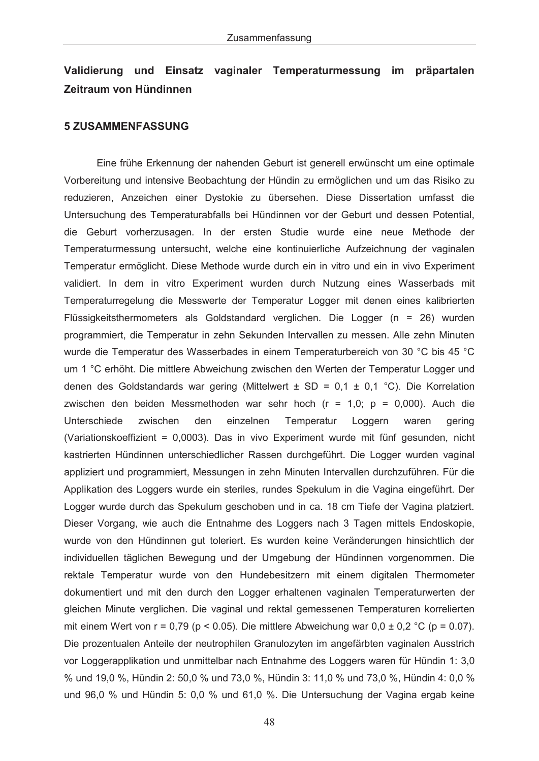# **Validierung und Einsatz vaginaler Temperaturmessung im präpartalen Zeitraum von Hündinnen**

#### **5 ZUSAMMENFASSUNG**

Eine frühe Erkennung der nahenden Geburt ist generell erwünscht um eine optimale Vorbereitung und intensive Beobachtung der Hündin zu ermöglichen und um das Risiko zu reduzieren, Anzeichen einer Dystokie zu übersehen. Diese Dissertation umfasst die Untersuchung des Temperaturabfalls bei Hündinnen vor der Geburt und dessen Potential, die Geburt vorherzusagen. In der ersten Studie wurde eine neue Methode der Temperaturmessung untersucht, welche eine kontinuierliche Aufzeichnung der vaginalen Temperatur ermöglicht. Diese Methode wurde durch ein in vitro und ein in vivo Experiment validiert. In dem in vitro Experiment wurden durch Nutzung eines Wasserbads mit Temperaturregelung die Messwerte der Temperatur Logger mit denen eines kalibrierten Flüssigkeitsthermometers als Goldstandard verglichen. Die Logger (n = 26) wurden programmiert, die Temperatur in zehn Sekunden Intervallen zu messen. Alle zehn Minuten wurde die Temperatur des Wasserbades in einem Temperaturbereich von 30 °C bis 45 °C um 1 °C erhöht. Die mittlere Abweichung zwischen den Werten der Temperatur Logger und denen des Goldstandards war gering (Mittelwert  $\pm$  SD = 0,1  $\pm$  0,1 °C). Die Korrelation zwischen den beiden Messmethoden war sehr hoch (r = 1,0; p = 0,000). Auch die Unterschiede zwischen den einzelnen Temperatur Loggern waren gering (Variationskoeffizient = 0,0003). Das in vivo Experiment wurde mit fünf gesunden, nicht kastrierten Hündinnen unterschiedlicher Rassen durchgeführt. Die Logger wurden vaginal appliziert und programmiert, Messungen in zehn Minuten Intervallen durchzuführen. Für die Applikation des Loggers wurde ein steriles, rundes Spekulum in die Vagina eingeführt. Der Logger wurde durch das Spekulum geschoben und in ca. 18 cm Tiefe der Vagina platziert. Dieser Vorgang, wie auch die Entnahme des Loggers nach 3 Tagen mittels Endoskopie, wurde von den Hündinnen gut toleriert. Es wurden keine Veränderungen hinsichtlich der individuellen täglichen Bewegung und der Umgebung der Hündinnen vorgenommen. Die rektale Temperatur wurde von den Hundebesitzern mit einem digitalen Thermometer dokumentiert und mit den durch den Logger erhaltenen vaginalen Temperaturwerten der gleichen Minute verglichen. Die vaginal und rektal gemessenen Temperaturen korrelierten mit einem Wert von r = 0,79 (p < 0.05). Die mittlere Abweichung war 0,0 ± 0,2 °C (p = 0.07). Die prozentualen Anteile der neutrophilen Granulozyten im angefärbten vaginalen Ausstrich vor Loggerapplikation und unmittelbar nach Entnahme des Loggers waren für Hündin 1: 3,0 % und 19,0 %, Hündin 2: 50,0 % und 73,0 %, Hündin 3: 11,0 % und 73,0 %, Hündin 4: 0,0 % und 96,0 % und Hündin 5: 0,0 % und 61,0 %. Die Untersuchung der Vagina ergab keine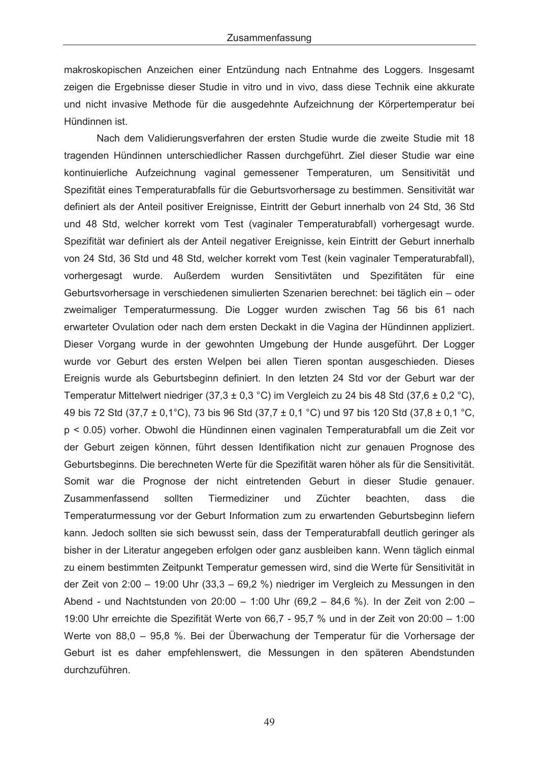makroskopischen Anzeichen einer Entzündung nach Entnahme des Loggers. Insgesamt zeigen die Ergebnisse dieser Studie in vitro und in vivo, dass diese Technik eine akkurate und nicht invasive Methode für die ausgedehnte Aufzeichnung der Körpertemperatur bei Hündinnen ist.

 Nach dem Validierungsverfahren der ersten Studie wurde die zweite Studie mit 18 tragenden Hündinnen unterschiedlicher Rassen durchgeführt. Ziel dieser Studie war eine kontinuierliche Aufzeichnung vaginal gemessener Temperaturen, um Sensitivität und Spezifität eines Temperaturabfalls für die Geburtsvorhersage zu bestimmen. Sensitivität war definiert als der Anteil positiver Ereignisse, Eintritt der Geburt innerhalb von 24 Std, 36 Std und 48 Std, welcher korrekt vom Test (vaginaler Temperaturabfall) vorhergesagt wurde. Spezifität war definiert als der Anteil negativer Ereignisse, kein Eintritt der Geburt innerhalb von 24 Std, 36 Std und 48 Std, welcher korrekt vom Test (kein vaginaler Temperaturabfall), vorhergesagt wurde. Außerdem wurden Sensitivtäten und Spezifitäten für eine Geburtsvorhersage in verschiedenen simulierten Szenarien berechnet: bei täglich ein – oder zweimaliger Temperaturmessung. Die Logger wurden zwischen Tag 56 bis 61 nach erwarteter Ovulation oder nach dem ersten Deckakt in die Vagina der Hündinnen appliziert. Dieser Vorgang wurde in der gewohnten Umgebung der Hunde ausgeführt. Der Logger wurde vor Geburt des ersten Welpen bei allen Tieren spontan ausgeschieden. Dieses Ereignis wurde als Geburtsbeginn definiert. In den letzten 24 Std vor der Geburt war der Temperatur Mittelwert niedriger (37,3  $\pm$  0,3 °C) im Vergleich zu 24 bis 48 Std (37,6  $\pm$  0,2 °C), 49 bis 72 Std (37,7 ± 0,1°C), 73 bis 96 Std (37,7 ± 0,1 °C) und 97 bis 120 Std (37,8 ± 0,1 °C, p < 0.05) vorher. Obwohl die Hündinnen einen vaginalen Temperaturabfall um die Zeit vor der Geburt zeigen können, führt dessen Identifikation nicht zur genauen Prognose des Geburtsbeginns. Die berechneten Werte für die Spezifität waren höher als für die Sensitivität. Somit war die Prognose der nicht eintretenden Geburt in dieser Studie genauer. Zusammenfassend sollten Tiermediziner und Züchter beachten, dass die Temperaturmessung vor der Geburt Information zum zu erwartenden Geburtsbeginn liefern kann. Jedoch sollten sie sich bewusst sein, dass der Temperaturabfall deutlich geringer als bisher in der Literatur angegeben erfolgen oder ganz ausbleiben kann. Wenn täglich einmal zu einem bestimmten Zeitpunkt Temperatur gemessen wird, sind die Werte für Sensitivität in der Zeit von 2:00 – 19:00 Uhr (33,3 – 69,2 %) niedriger im Vergleich zu Messungen in den Abend - und Nachtstunden von 20:00 – 1:00 Uhr (69,2 – 84,6 %). In der Zeit von 2:00 – 19:00 Uhr erreichte die Spezifität Werte von 66,7 - 95,7 % und in der Zeit von 20:00 – 1:00 Werte von 88,0 – 95,8 %. Bei der Überwachung der Temperatur für die Vorhersage der Geburt ist es daher empfehlenswert, die Messungen in den späteren Abendstunden durchzuführen.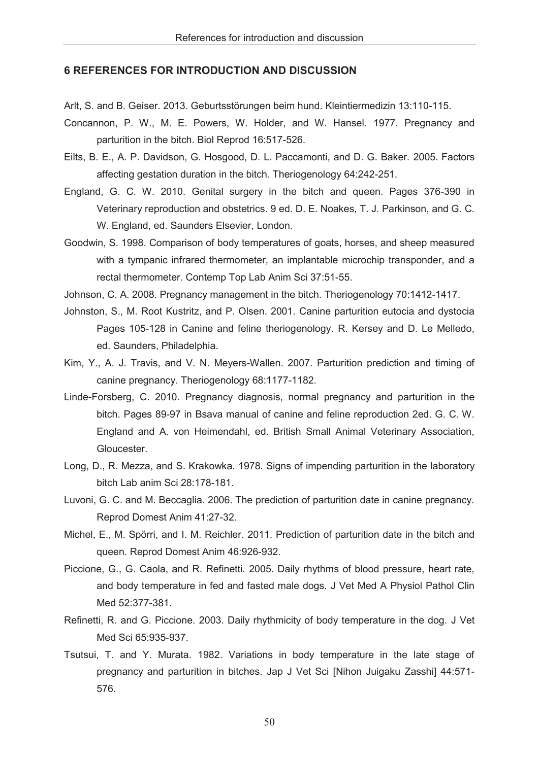## **6 REFERENCES FOR INTRODUCTION AND DISCUSSION**

Arlt, S. and B. Geiser. 2013. Geburtsstörungen beim hund. Kleintiermedizin 13:110-115.

- Concannon, P. W., M. E. Powers, W. Holder, and W. Hansel. 1977. Pregnancy and parturition in the bitch. Biol Reprod 16:517-526.
- Eilts, B. E., A. P. Davidson, G. Hosgood, D. L. Paccamonti, and D. G. Baker. 2005. Factors affecting gestation duration in the bitch. Theriogenology 64:242-251.
- England, G. C. W. 2010. Genital surgery in the bitch and queen. Pages 376-390 in Veterinary reproduction and obstetrics. 9 ed. D. E. Noakes, T. J. Parkinson, and G. C. W. England, ed. Saunders Elsevier, London.
- Goodwin, S. 1998. Comparison of body temperatures of goats, horses, and sheep measured with a tympanic infrared thermometer, an implantable microchip transponder, and a rectal thermometer. Contemp Top Lab Anim Sci 37:51-55.

Johnson, C. A. 2008. Pregnancy management in the bitch. Theriogenology 70:1412-1417.

- Johnston, S., M. Root Kustritz, and P. Olsen. 2001. Canine parturition eutocia and dystocia Pages 105-128 in Canine and feline theriogenology. R. Kersey and D. Le Melledo, ed. Saunders, Philadelphia.
- Kim, Y., A. J. Travis, and V. N. Meyers-Wallen. 2007. Parturition prediction and timing of canine pregnancy. Theriogenology 68:1177-1182.
- Linde-Forsberg, C. 2010. Pregnancy diagnosis, normal pregnancy and parturition in the bitch. Pages 89-97 in Bsava manual of canine and feline reproduction 2ed. G. C. W. England and A. von Heimendahl, ed. British Small Animal Veterinary Association, Gloucester.
- Long, D., R. Mezza, and S. Krakowka. 1978. Signs of impending parturition in the laboratory bitch Lab anim Sci 28:178-181.
- Luvoni, G. C. and M. Beccaglia. 2006. The prediction of parturition date in canine pregnancy. Reprod Domest Anim 41:27-32.
- Michel, E., M. Spörri, and I. M. Reichler. 2011. Prediction of parturition date in the bitch and queen. Reprod Domest Anim 46:926-932.
- Piccione, G., G. Caola, and R. Refinetti. 2005. Daily rhythms of blood pressure, heart rate, and body temperature in fed and fasted male dogs. J Vet Med A Physiol Pathol Clin Med 52:377-381.
- Refinetti, R. and G. Piccione. 2003. Daily rhythmicity of body temperature in the dog. J Vet Med Sci 65:935-937.
- Tsutsui, T. and Y. Murata. 1982. Variations in body temperature in the late stage of pregnancy and parturition in bitches. Jap J Vet Sci [Nihon Juigaku Zasshi] 44:571- 576.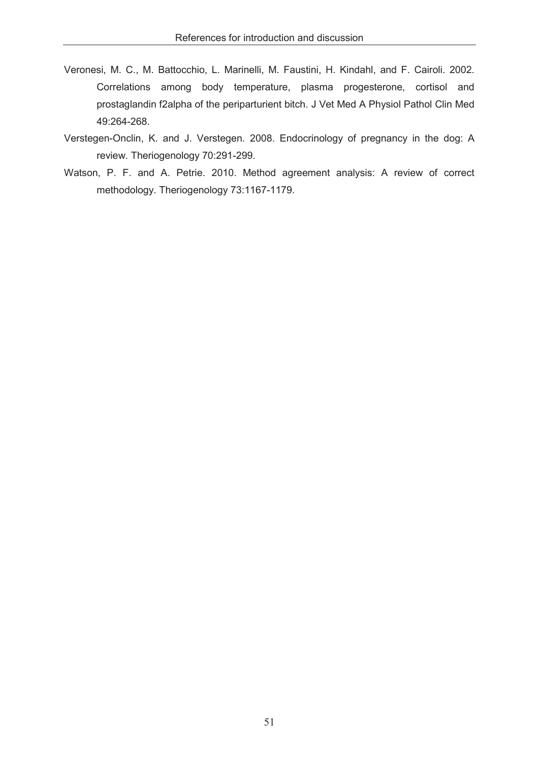- Veronesi, M. C., M. Battocchio, L. Marinelli, M. Faustini, H. Kindahl, and F. Cairoli. 2002. Correlations among body temperature, plasma progesterone, cortisol and prostaglandin f2alpha of the periparturient bitch. J Vet Med A Physiol Pathol Clin Med 49:264-268.
- Verstegen-Onclin, K. and J. Verstegen. 2008. Endocrinology of pregnancy in the dog: A review. Theriogenology 70:291-299.
- Watson, P. F. and A. Petrie. 2010. Method agreement analysis: A review of correct methodology. Theriogenology 73:1167-1179.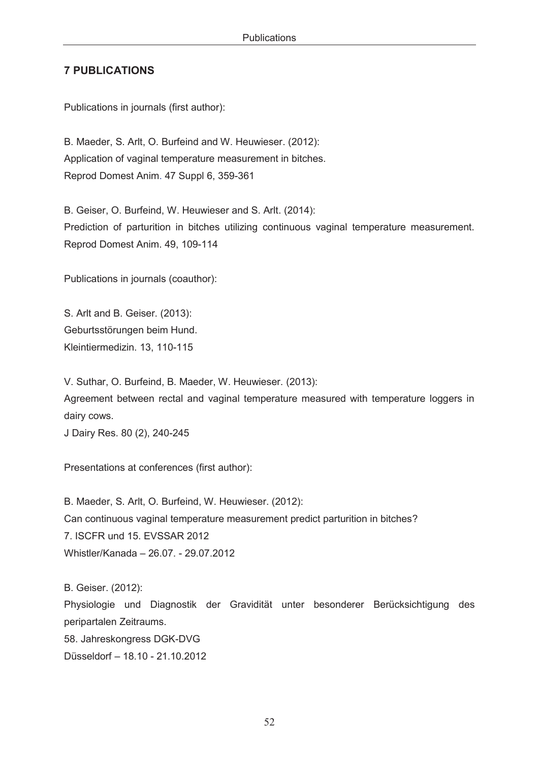## **7 PUBLICATIONS**

Publications in journals (first author):

B. Maeder, S. Arlt, O. Burfeind and W. Heuwieser. (2012): Application of vaginal temperature measurement in bitches. Reprod Domest Anim. 47 Suppl 6, 359-361

B. Geiser, O. Burfeind, W. Heuwieser and S. Arlt. (2014): Prediction of parturition in bitches utilizing continuous vaginal temperature measurement. Reprod Domest Anim. 49, 109-114

Publications in journals (coauthor):

S. Arlt and B. Geiser. (2013): Geburtsstörungen beim Hund. Kleintiermedizin. 13, 110-115

V. Suthar, O. Burfeind, B. Maeder, W. Heuwieser. (2013): Agreement between rectal and vaginal temperature measured with temperature loggers in dairy cows.

J Dairy Res. 80 (2), 240-245

Presentations at conferences (first author):

B. Maeder, S. Arlt, O. Burfeind, W. Heuwieser. (2012): Can continuous vaginal temperature measurement predict parturition in bitches? 7. ISCFR und 15. EVSSAR 2012 Whistler/Kanada – 26.07. - 29.07.2012

B. Geiser. (2012): Physiologie und Diagnostik der Gravidität unter besonderer Berücksichtigung des peripartalen Zeitraums. 58. Jahreskongress DGK-DVG Düsseldorf – 18.10 - 21.10.2012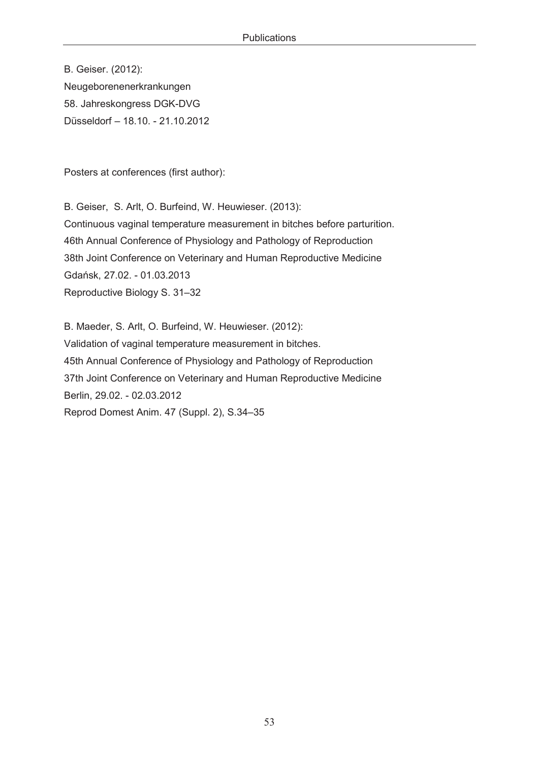B. Geiser. (2012): Neugeborenenerkrankungen 58. Jahreskongress DGK-DVG Düsseldorf – 18.10. - 21.10.2012

Posters at conferences (first author):

B. Geiser, S. Arlt, O. Burfeind, W. Heuwieser. (2013): Continuous vaginal temperature measurement in bitches before parturition. 46th Annual Conference of Physiology and Pathology of Reproduction 38th Joint Conference on Veterinary and Human Reproductive Medicine Gdańsk, 27.02. - 01.03.2013 Reproductive Biology S. 31–32

B. Maeder, S. Arlt, O. Burfeind, W. Heuwieser. (2012): Validation of vaginal temperature measurement in bitches. 45th Annual Conference of Physiology and Pathology of Reproduction 37th Joint Conference on Veterinary and Human Reproductive Medicine Berlin, 29.02. - 02.03.2012 Reprod Domest Anim. 47 (Suppl. 2), S.34–35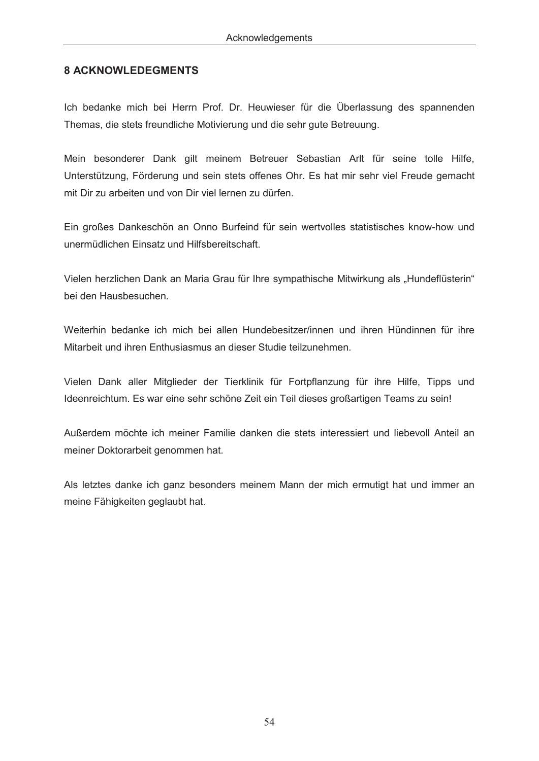## **8 ACKNOWLEDEGMENTS**

Ich bedanke mich bei Herrn Prof. Dr. Heuwieser für die Überlassung des spannenden Themas, die stets freundliche Motivierung und die sehr gute Betreuung.

Mein besonderer Dank gilt meinem Betreuer Sebastian Arlt für seine tolle Hilfe, Unterstützung, Förderung und sein stets offenes Ohr. Es hat mir sehr viel Freude gemacht mit Dir zu arbeiten und von Dir viel lernen zu dürfen.

Ein großes Dankeschön an Onno Burfeind für sein wertvolles statistisches know-how und unermüdlichen Einsatz und Hilfsbereitschaft.

Vielen herzlichen Dank an Maria Grau für Ihre sympathische Mitwirkung als "Hundeflüsterin" bei den Hausbesuchen.

Weiterhin bedanke ich mich bei allen Hundebesitzer/innen und ihren Hündinnen für ihre Mitarbeit und ihren Enthusiasmus an dieser Studie teilzunehmen.

Vielen Dank aller Mitglieder der Tierklinik für Fortpflanzung für ihre Hilfe, Tipps und Ideenreichtum. Es war eine sehr schöne Zeit ein Teil dieses großartigen Teams zu sein!

Außerdem möchte ich meiner Familie danken die stets interessiert und liebevoll Anteil an meiner Doktorarbeit genommen hat.

Als letztes danke ich ganz besonders meinem Mann der mich ermutigt hat und immer an meine Fähigkeiten geglaubt hat.